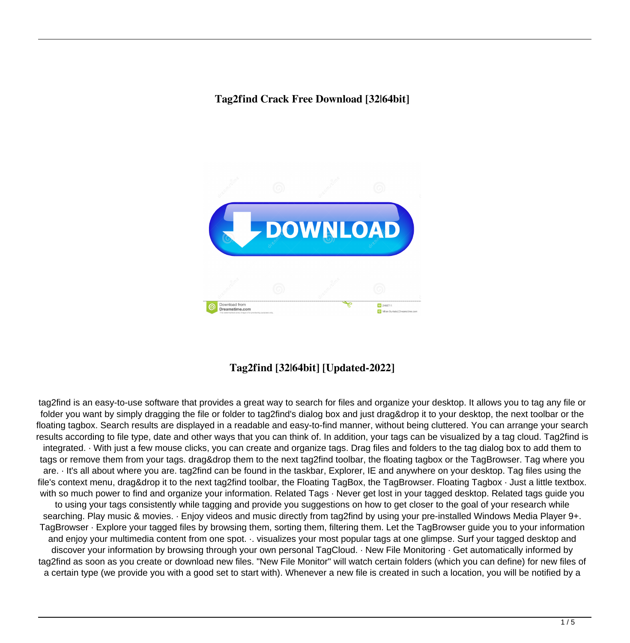### **Tag2find Crack Free Download [32|64bit]**



## **Tag2find [32|64bit] [Updated-2022]**

tag2find is an easy-to-use software that provides a great way to search for files and organize your desktop. It allows you to tag any file or folder you want by simply dragging the file or folder to tag2find's dialog box and just drag&drop it to your desktop, the next toolbar or the floating tagbox. Search results are displayed in a readable and easy-to-find manner, without being cluttered. You can arrange your search results according to file type, date and other ways that you can think of. In addition, your tags can be visualized by a tag cloud. Tag2find is integrated. · With just a few mouse clicks, you can create and organize tags. Drag files and folders to the tag dialog box to add them to tags or remove them from your tags. drag&drop them to the next tag2find toolbar, the floating tagbox or the TagBrowser. Tag where you are. · It's all about where you are. tag2find can be found in the taskbar, Explorer, IE and anywhere on your desktop. Tag files using the file's context menu, drag&drop it to the next tag2find toolbar, the Floating TagBox, the TagBrowser. Floating Tagbox · Just a little textbox. with so much power to find and organize your information. Related Tags · Never get lost in your tagged desktop. Related tags guide you to using your tags consistently while tagging and provide you suggestions on how to get closer to the goal of your research while searching. Play music & movies. · Enjoy videos and music directly from tag2find by using your pre-installed Windows Media Player 9+. TagBrowser · Explore your tagged files by browsing them, sorting them, filtering them. Let the TagBrowser guide you to your information and enjoy your multimedia content from one spot. ·. visualizes your most popular tags at one glimpse. Surf your tagged desktop and discover your information by browsing through your own personal TagCloud. · New File Monitoring · Get automatically informed by tag2find as soon as you create or download new files. "New File Monitor" will watch certain folders (which you can define) for new files of a certain type (we provide you with a good set to start with). Whenever a new file is created in such a location, you will be notified by a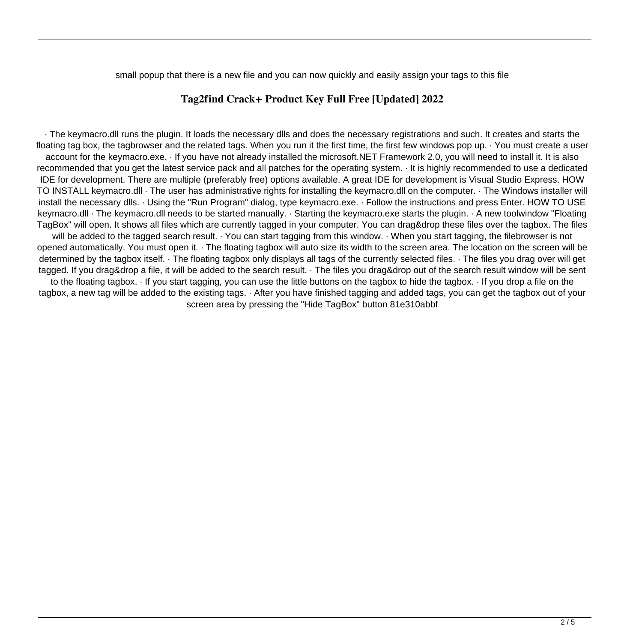small popup that there is a new file and you can now quickly and easily assign your tags to this file

#### **Tag2find Crack+ Product Key Full Free [Updated] 2022**

· The keymacro.dll runs the plugin. It loads the necessary dlls and does the necessary registrations and such. It creates and starts the floating tag box, the tagbrowser and the related tags. When you run it the first time, the first few windows pop up. · You must create a user account for the keymacro.exe. · If you have not already installed the microsoft.NET Framework 2.0, you will need to install it. It is also recommended that you get the latest service pack and all patches for the operating system. · It is highly recommended to use a dedicated IDE for development. There are multiple (preferably free) options available. A great IDE for development is Visual Studio Express. HOW TO INSTALL keymacro.dll · The user has administrative rights for installing the keymacro.dll on the computer. · The Windows installer will install the necessary dlls. · Using the "Run Program" dialog, type keymacro.exe. · Follow the instructions and press Enter. HOW TO USE keymacro.dll · The keymacro.dll needs to be started manually. · Starting the keymacro.exe starts the plugin. · A new toolwindow "Floating TagBox" will open. It shows all files which are currently tagged in your computer. You can drag&drop these files over the tagbox. The files will be added to the tagged search result. · You can start tagging from this window. · When you start tagging, the filebrowser is not opened automatically. You must open it. · The floating tagbox will auto size its width to the screen area. The location on the screen will be determined by the tagbox itself. · The floating tagbox only displays all tags of the currently selected files. · The files you drag over will get tagged. If you drag&drop a file, it will be added to the search result. · The files you drag&drop out of the search result window will be sent to the floating tagbox. · If you start tagging, you can use the little buttons on the tagbox to hide the tagbox. · If you drop a file on the tagbox, a new tag will be added to the existing tags. · After you have finished tagging and added tags, you can get the tagbox out of your screen area by pressing the "Hide TagBox" button 81e310abbf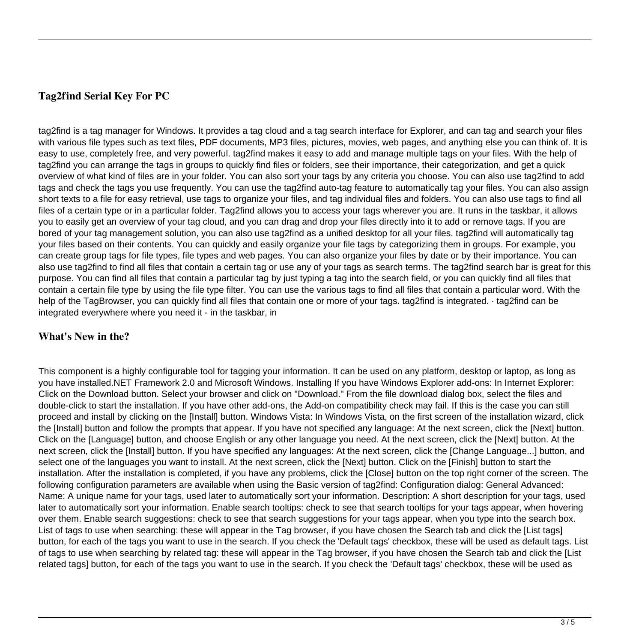# **Tag2find Serial Key For PC**

tag2find is a tag manager for Windows. It provides a tag cloud and a tag search interface for Explorer, and can tag and search your files with various file types such as text files, PDF documents, MP3 files, pictures, movies, web pages, and anything else you can think of. It is easy to use, completely free, and very powerful. tag2find makes it easy to add and manage multiple tags on your files. With the help of tag2find you can arrange the tags in groups to quickly find files or folders, see their importance, their categorization, and get a quick overview of what kind of files are in your folder. You can also sort your tags by any criteria you choose. You can also use tag2find to add tags and check the tags you use frequently. You can use the tag2find auto-tag feature to automatically tag your files. You can also assign short texts to a file for easy retrieval, use tags to organize your files, and tag individual files and folders. You can also use tags to find all files of a certain type or in a particular folder. Tag2find allows you to access your tags wherever you are. It runs in the taskbar, it allows you to easily get an overview of your tag cloud, and you can drag and drop your files directly into it to add or remove tags. If you are bored of your tag management solution, you can also use tag2find as a unified desktop for all your files. tag2find will automatically tag your files based on their contents. You can quickly and easily organize your file tags by categorizing them in groups. For example, you can create group tags for file types, file types and web pages. You can also organize your files by date or by their importance. You can also use tag2find to find all files that contain a certain tag or use any of your tags as search terms. The tag2find search bar is great for this purpose. You can find all files that contain a particular tag by just typing a tag into the search field, or you can quickly find all files that contain a certain file type by using the file type filter. You can use the various tags to find all files that contain a particular word. With the help of the TagBrowser, you can quickly find all files that contain one or more of your tags. tag2find is integrated. · tag2find can be integrated everywhere where you need it - in the taskbar, in

## **What's New in the?**

This component is a highly configurable tool for tagging your information. It can be used on any platform, desktop or laptop, as long as you have installed.NET Framework 2.0 and Microsoft Windows. Installing If you have Windows Explorer add-ons: In Internet Explorer: Click on the Download button. Select your browser and click on "Download." From the file download dialog box, select the files and double-click to start the installation. If you have other add-ons, the Add-on compatibility check may fail. If this is the case you can still proceed and install by clicking on the [Install] button. Windows Vista: In Windows Vista, on the first screen of the installation wizard, click the [Install] button and follow the prompts that appear. If you have not specified any language: At the next screen, click the [Next] button. Click on the [Language] button, and choose English or any other language you need. At the next screen, click the [Next] button. At the next screen, click the [Install] button. If you have specified any languages: At the next screen, click the [Change Language...] button, and select one of the languages you want to install. At the next screen, click the [Next] button. Click on the [Finish] button to start the installation. After the installation is completed, if you have any problems, click the [Close] button on the top right corner of the screen. The following configuration parameters are available when using the Basic version of tag2find: Configuration dialog: General Advanced: Name: A unique name for your tags, used later to automatically sort your information. Description: A short description for your tags, used later to automatically sort your information. Enable search tooltips: check to see that search tooltips for your tags appear, when hovering over them. Enable search suggestions: check to see that search suggestions for your tags appear, when you type into the search box. List of tags to use when searching: these will appear in the Tag browser, if you have chosen the Search tab and click the [List tags] button, for each of the tags you want to use in the search. If you check the 'Default tags' checkbox, these will be used as default tags. List of tags to use when searching by related tag: these will appear in the Tag browser, if you have chosen the Search tab and click the [List related tags] button, for each of the tags you want to use in the search. If you check the 'Default tags' checkbox, these will be used as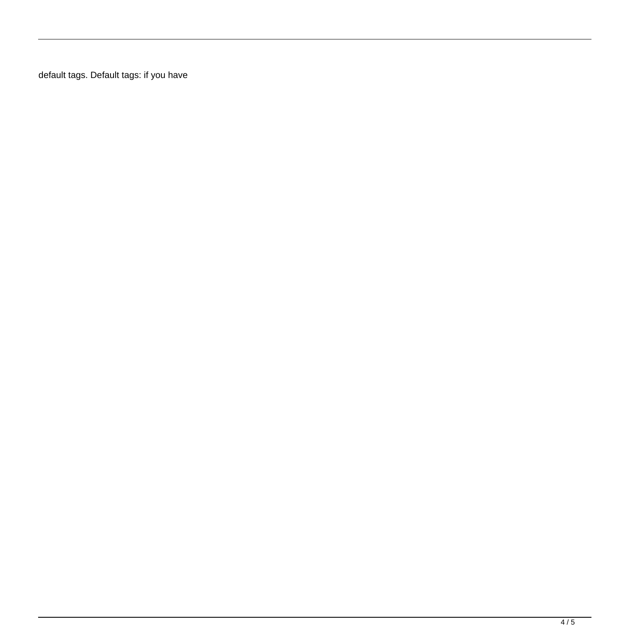default tags. Default tags: if you have